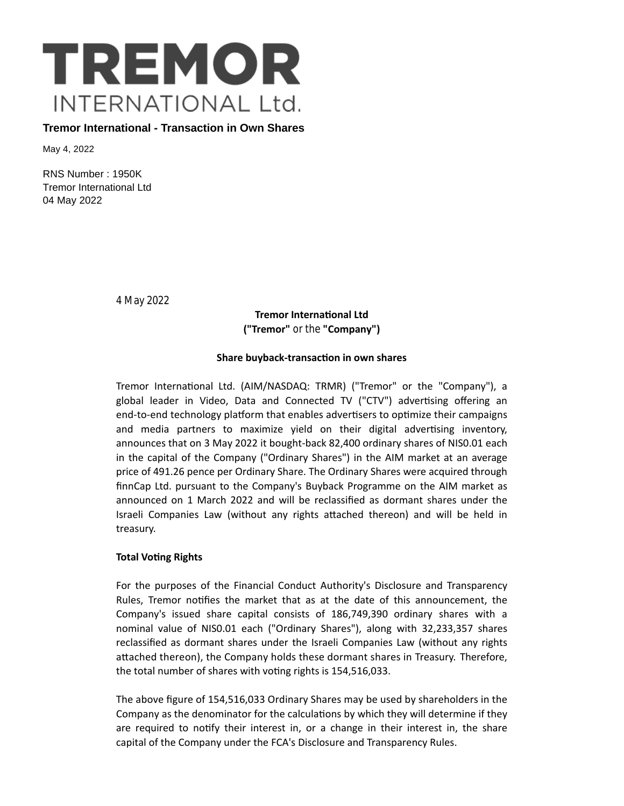

**Tremor International - Transaction in Own Shares**

May 4, 2022

RNS Number : 1950K Tremor International Ltd 04 May 2022

4 May 2022

**Tremor International Ltd ("Tremor"** or the **"Company")**

## **Share buyback-transacƟon in own shares**

Tremor International Ltd. (AIM/NASDAQ: TRMR) ("Tremor" or the "Company"), a global leader in Video, Data and Connected TV ("CTV") advertising offering an end-to-end technology platform that enables advertisers to optimize their campaigns and media partners to maximize yield on their digital advertising inventory, announces that on 3 May 2022 it bought-back 82,400 ordinary shares of NIS0.01 each in the capital of the Company ("Ordinary Shares") in the AIM market at an average price of 491.26 pence per Ordinary Share. The Ordinary Shares were acquired through finnCap Ltd. pursuant to the Company's Buyback Programme on the AIM market as announced on 1 March 2022 and will be reclassified as dormant shares under the Israeli Companies Law (without any rights attached thereon) and will be held in treasury.

## **Total VoƟng Rights**

For the purposes of the Financial Conduct Authority's Disclosure and Transparency Rules, Tremor notifies the market that as at the date of this announcement, the Company's issued share capital consists of 186,749,390 ordinary shares with a nominal value of NIS0.01 each ("Ordinary Shares"), along with 32,233,357 shares reclassified as dormant shares under the Israeli Companies Law (without any rights attached thereon), the Company holds these dormant shares in Treasury. Therefore, the total number of shares with voting rights is 154,516,033.

The above figure of 154,516,033 Ordinary Shares may be used by shareholders in the Company as the denominator for the calculations by which they will determine if they are required to notify their interest in, or a change in their interest in, the share capital of the Company under the FCA's Disclosure and Transparency Rules.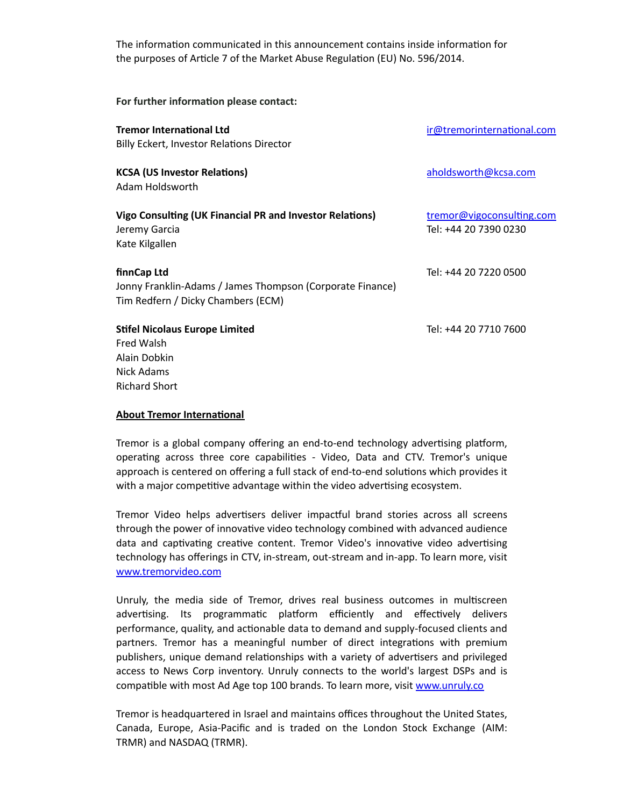The information communicated in this announcement contains inside information for the purposes of Article 7 of the Market Abuse Regulation (EU) No. 596/2014.

For further information please contact:

| <b>Tremor International Ltd</b><br><b>Billy Eckert, Investor Relations Director</b>                            | ir@tremorinternational.com                         |
|----------------------------------------------------------------------------------------------------------------|----------------------------------------------------|
| <b>KCSA (US Investor Relations)</b><br>Adam Holdsworth                                                         | aholdsworth@kcsa.com                               |
| Vigo Consulting (UK Financial PR and Investor Relations)<br>Jeremy Garcia<br>Kate Kilgallen                    | tremor@vigoconsulting.com<br>Tel: +44 20 7390 0230 |
| finnCap Ltd<br>Jonny Franklin-Adams / James Thompson (Corporate Finance)<br>Tim Redfern / Dicky Chambers (ECM) | Tel: +44 20 7220 0500                              |
| <b>Stifel Nicolaus Europe Limited</b><br>Fred Walsh<br>Alain Dobkin<br>Nick Adams<br><b>Richard Short</b>      | Tel: +44 20 7710 7600                              |

## **About Tremor International**

Tremor is a global company offering an end-to-end technology advertising platform, operating across three core capabilities - Video, Data and CTV. Tremor's unique approach is centered on offering a full stack of end-to-end solutions which provides it with a major competitive advantage within the video advertising ecosystem.

Tremor Video helps advertisers deliver impactful brand stories across all screens through the power of innovative video technology combined with advanced audience data and captivating creative content. Tremor Video's innovative video advertising technology has offerings in CTV, in-stream, out-stream and in-app. To learn more, visit [www.tremorvideo.com](http://www.tremorvideo.com/)

Unruly, the media side of Tremor, drives real business outcomes in multiscreen advertising. Its programmatic platform efficiently and effectively delivers performance, quality, and actionable data to demand and supply-focused clients and partners. Tremor has a meaningful number of direct integrations with premium publishers, unique demand relationships with a variety of advertisers and privileged access to News Corp inventory. Unruly connects to the world's largest DSPs and is compatible with most Ad Age top 100 brands. To learn more, visit [www.unruly.co](http://www.unruly.co/)

Tremor is headquartered in Israel and maintains offices throughout the United States, Canada, Europe, Asia-Pacific and is traded on the London Stock Exchange (AIM: TRMR) and NASDAQ (TRMR).